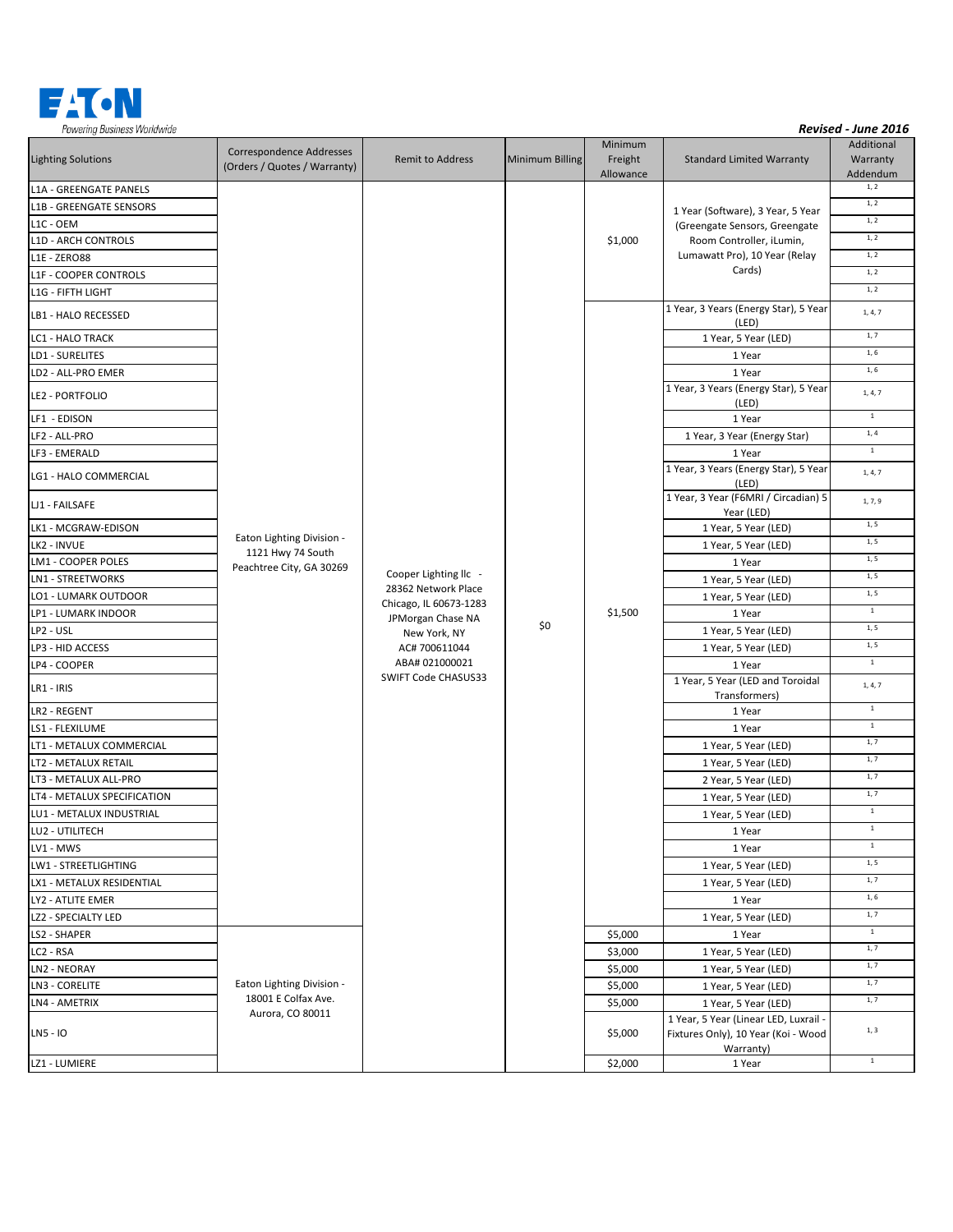

| <b>Lighting Solutions</b>   | Correspondence Addresses<br>(Orders / Quotes / Warranty)                   | Remit to Address                                                                                                                                                      | Minimum Billing | Minimum<br>Freight<br>Allowance | <b>Standard Limited Warranty</b>                                                          | Additional<br>Warranty<br>Addendum |
|-----------------------------|----------------------------------------------------------------------------|-----------------------------------------------------------------------------------------------------------------------------------------------------------------------|-----------------|---------------------------------|-------------------------------------------------------------------------------------------|------------------------------------|
| L1A - GREENGATE PANELS      | Eaton Lighting Division -<br>1121 Hwy 74 South<br>Peachtree City, GA 30269 | Cooper Lighting IIc -<br>28362 Network Place<br>Chicago, IL 60673-1283<br>JPMorgan Chase NA<br>New York, NY<br>AC# 700611044<br>ABA# 021000021<br>SWIFT Code CHASUS33 |                 | \$1,000                         | 1 Year (Software), 3 Year, 5 Year                                                         | $1,\,2$                            |
| L1B - GREENGATE SENSORS     |                                                                            |                                                                                                                                                                       |                 |                                 |                                                                                           | 1, 2                               |
| L1C - OEM                   |                                                                            |                                                                                                                                                                       |                 |                                 | (Greengate Sensors, Greengate                                                             | 1, 2                               |
| <b>L1D - ARCH CONTROLS</b>  |                                                                            |                                                                                                                                                                       |                 |                                 | Room Controller, iLumin,                                                                  | 1, 2                               |
| L1E - ZERO88                |                                                                            |                                                                                                                                                                       |                 |                                 | Lumawatt Pro), 10 Year (Relay<br>Cards)                                                   | 1, 2                               |
| L1F - COOPER CONTROLS       |                                                                            |                                                                                                                                                                       |                 |                                 |                                                                                           | 1, 2                               |
| L1G - FIFTH LIGHT           |                                                                            |                                                                                                                                                                       |                 |                                 |                                                                                           | 1, 2                               |
| LB1 - HALO RECESSED         |                                                                            |                                                                                                                                                                       |                 | \$1,500                         | 1 Year, 3 Years (Energy Star), 5 Year<br>(LED)                                            | 1, 4, 7                            |
| LC1 - HALO TRACK            |                                                                            |                                                                                                                                                                       |                 |                                 | 1 Year, 5 Year (LED)                                                                      | 1, 7                               |
| LD1 - SURELITES             |                                                                            |                                                                                                                                                                       |                 |                                 | 1 Year                                                                                    | 1, 6                               |
| LD2 - ALL-PRO EMER          |                                                                            |                                                                                                                                                                       |                 |                                 | 1 Year                                                                                    | 1, 6                               |
| LE2 - PORTFOLIO             |                                                                            |                                                                                                                                                                       |                 |                                 | 1 Year, 3 Years (Energy Star), 5 Year<br>(LED)                                            | 1, 4, 7                            |
| LF1 - EDISON                |                                                                            |                                                                                                                                                                       |                 |                                 | 1 Year                                                                                    | $\,1\,$                            |
| LF2 - ALL-PRO               |                                                                            |                                                                                                                                                                       |                 |                                 | 1 Year, 3 Year (Energy Star)                                                              | 1,4                                |
| LF3 - EMERALD               |                                                                            |                                                                                                                                                                       |                 |                                 | 1 Year                                                                                    | $\mathbf 1$                        |
| LG1 - HALO COMMERCIAL       |                                                                            |                                                                                                                                                                       |                 |                                 | 1 Year, 3 Years (Energy Star), 5 Year<br>(LED)                                            | 1, 4, 7                            |
| LJ1 - FAILSAFE              |                                                                            |                                                                                                                                                                       |                 |                                 | 1 Year, 3 Year (F6MRI / Circadian) 5<br>Year (LED)                                        | 1, 7, 9                            |
| LK1 - MCGRAW-EDISON         |                                                                            |                                                                                                                                                                       |                 |                                 | 1 Year, 5 Year (LED)                                                                      | 1, 5                               |
| LK2 - INVUE                 |                                                                            |                                                                                                                                                                       |                 |                                 | 1 Year, 5 Year (LED)                                                                      | 1, 5                               |
| LM1 - COOPER POLES          |                                                                            |                                                                                                                                                                       |                 |                                 | 1 Year                                                                                    | 1, 5                               |
| LN1 - STREETWORKS           |                                                                            |                                                                                                                                                                       |                 |                                 | 1 Year, 5 Year (LED)                                                                      | 1, 5                               |
| LO1 - LUMARK OUTDOOR        |                                                                            |                                                                                                                                                                       |                 |                                 | 1 Year, 5 Year (LED)                                                                      | 1, 5                               |
| LP1 - LUMARK INDOOR         |                                                                            |                                                                                                                                                                       |                 |                                 | 1 Year                                                                                    | $1\,$                              |
| LP2 - USL                   |                                                                            |                                                                                                                                                                       | \$0             |                                 | 1 Year, 5 Year (LED)                                                                      | 1, 5                               |
| LP3 - HID ACCESS            |                                                                            |                                                                                                                                                                       |                 |                                 | 1 Year, 5 Year (LED)                                                                      | 1, 5                               |
| LP4 - COOPER                |                                                                            |                                                                                                                                                                       |                 |                                 | 1 Year                                                                                    | $\,$ 1 $\,$                        |
| LR1 - IRIS                  |                                                                            |                                                                                                                                                                       |                 |                                 | 1 Year, 5 Year (LED and Toroidal<br>Transformers)                                         | 1, 4, 7                            |
| LR2 - REGENT                |                                                                            |                                                                                                                                                                       |                 |                                 | 1 Year                                                                                    | $\mathbf 1$                        |
| LS1 - FLEXILUME             |                                                                            |                                                                                                                                                                       |                 |                                 | 1 Year                                                                                    | $1\,$                              |
| LT1 - METALUX COMMERCIAL    |                                                                            |                                                                                                                                                                       |                 |                                 | 1 Year, 5 Year (LED)                                                                      | 1, 7                               |
| LT2 - METALUX RETAIL        |                                                                            |                                                                                                                                                                       |                 |                                 | 1 Year, 5 Year (LED)                                                                      | 1, 7                               |
| LT3 - METALUX ALL-PRO       |                                                                            |                                                                                                                                                                       |                 |                                 | 2 Year, 5 Year (LED)                                                                      | 1, 7                               |
| LT4 - METALUX SPECIFICATION |                                                                            |                                                                                                                                                                       |                 |                                 | 1 Year, 5 Year (LED)                                                                      | 1, 7                               |
| LU1 - METALUX INDUSTRIAL    |                                                                            |                                                                                                                                                                       |                 |                                 | 1 Year, 5 Year (LED)                                                                      | $1\,$                              |
| LU2 - UTILITECH             |                                                                            |                                                                                                                                                                       |                 |                                 | 1 Year                                                                                    | $\mathbf 1$                        |
| LV1 - MWS                   |                                                                            |                                                                                                                                                                       |                 |                                 | 1 Year                                                                                    | $\mathbf{1}$                       |
| LW1 - STREETLIGHTING        |                                                                            |                                                                                                                                                                       |                 |                                 | 1 Year, 5 Year (LED)                                                                      | 1, 5                               |
| LX1 - METALUX RESIDENTIAL   |                                                                            |                                                                                                                                                                       |                 |                                 | 1 Year, 5 Year (LED)                                                                      | 1, 7                               |
| LY2 - ATLITE EMER           |                                                                            |                                                                                                                                                                       |                 |                                 | 1 Year                                                                                    | 1, 6                               |
| LZ2 - SPECIALTY LED         |                                                                            |                                                                                                                                                                       |                 |                                 | 1 Year, 5 Year (LED)                                                                      | 1, 7                               |
| LS2 - SHAPER                | Eaton Lighting Division -<br>18001 E Colfax Ave.<br>Aurora, CO 80011       |                                                                                                                                                                       |                 | \$5,000                         | 1 Year                                                                                    | $\,$ 1 $\,$                        |
| LC2 - RSA                   |                                                                            |                                                                                                                                                                       |                 | \$3,000                         | 1 Year, 5 Year (LED)                                                                      | 1, 7                               |
| LN2 - NEORAY                |                                                                            |                                                                                                                                                                       |                 | \$5,000                         | 1 Year, 5 Year (LED)                                                                      | 1, 7                               |
| LN3 - CORELITE              |                                                                            |                                                                                                                                                                       |                 | \$5,000                         | 1 Year, 5 Year (LED)                                                                      | 1, 7                               |
| LN4 - AMETRIX               |                                                                            |                                                                                                                                                                       |                 | \$5,000                         | 1 Year, 5 Year (LED)                                                                      | 1, 7                               |
| LN5 - IO                    |                                                                            |                                                                                                                                                                       |                 | \$5,000                         | 1 Year, 5 Year (Linear LED, Luxrail -<br>Fixtures Only), 10 Year (Koi - Wood<br>Warranty) | 1, 3                               |
| LZ1 - LUMIERE               |                                                                            |                                                                                                                                                                       |                 | \$2,000                         | 1 Year                                                                                    | $\,$ 1 $\,$                        |